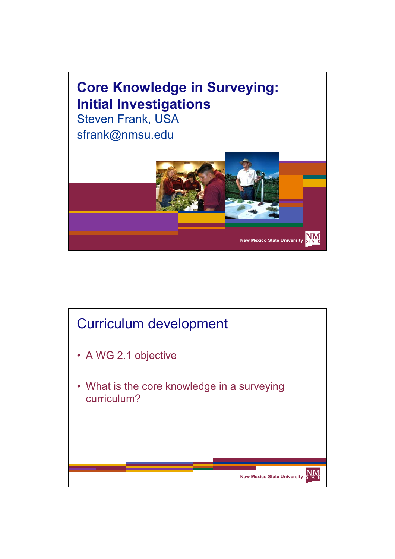

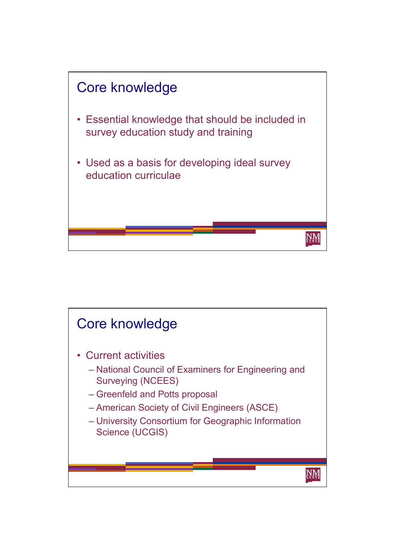

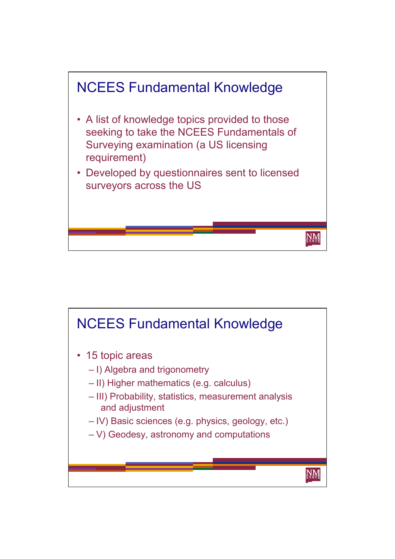

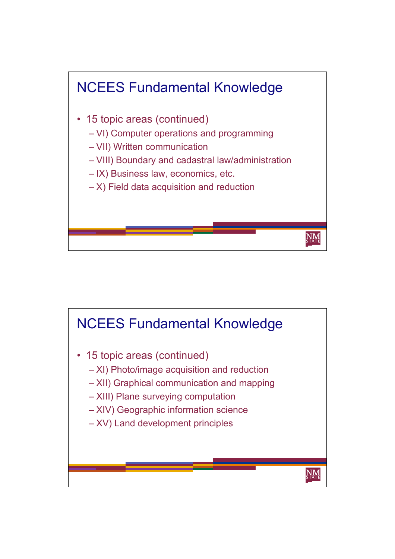

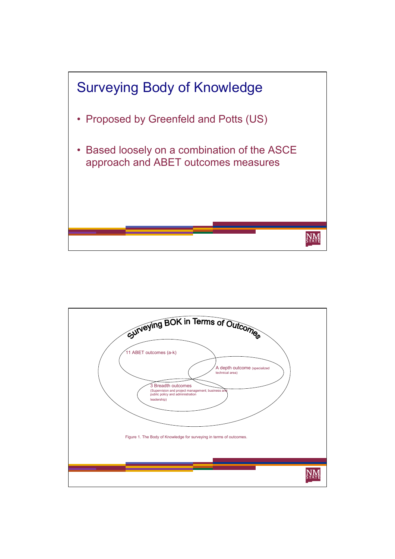

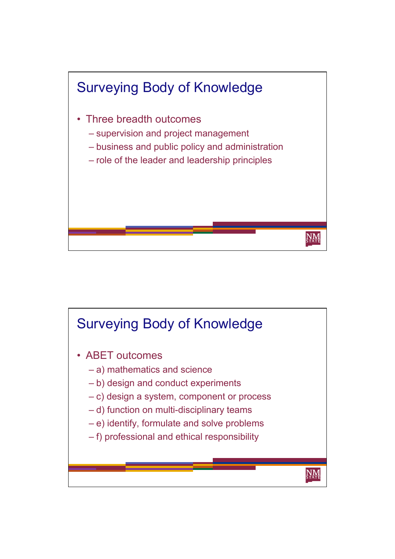

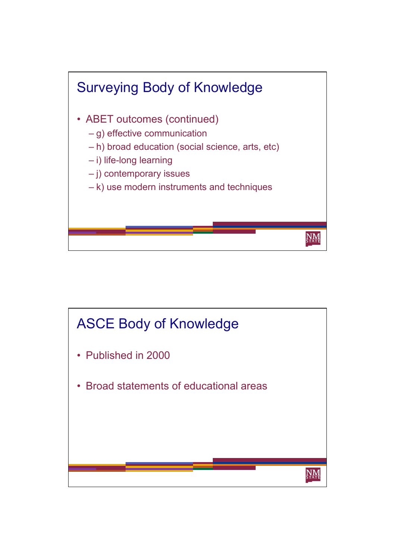

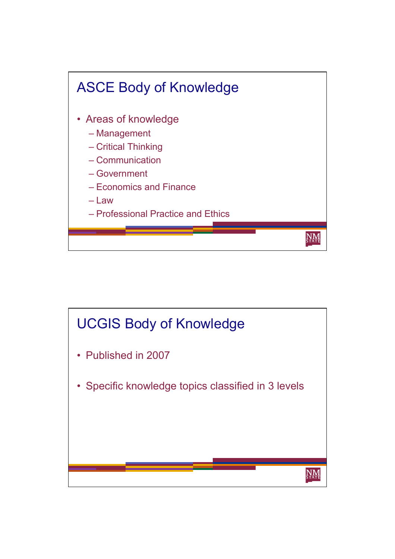

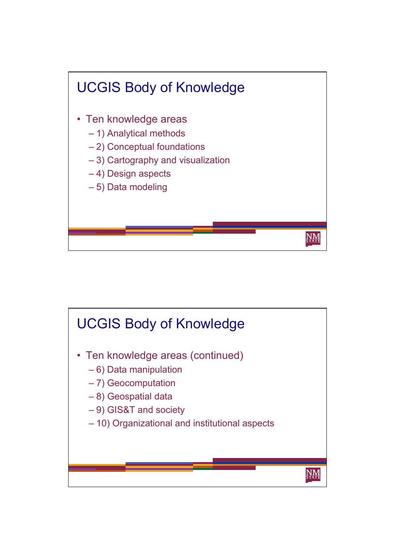

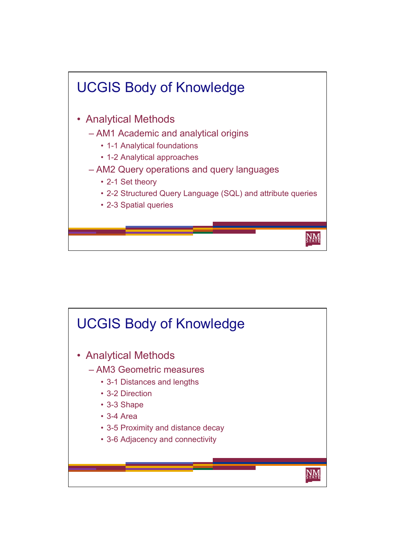

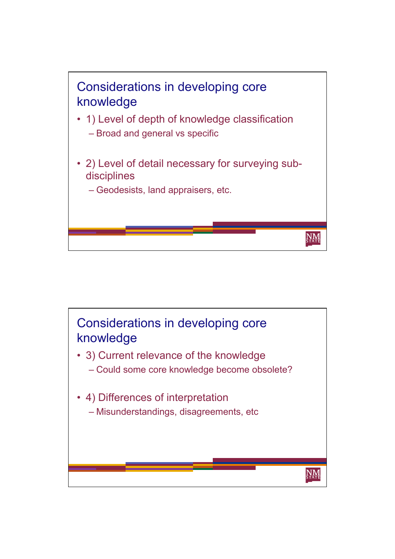